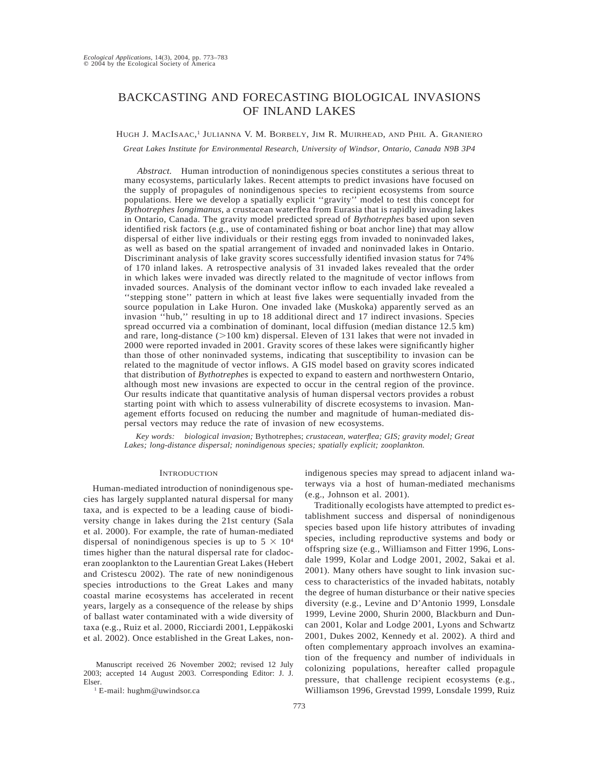# BACKCASTING AND FORECASTING BIOLOGICAL INVASIONS OF INLAND LAKES

HUGH J. MACISAAC, <sup>1</sup> JULIANNA V. M. BORBELY, JIM R. MUIRHEAD, AND PHIL A. GRANIERO

*Great Lakes Institute for Environmental Research, University of Windsor, Ontario, Canada N9B 3P4*

*Abstract.* Human introduction of nonindigenous species constitutes a serious threat to many ecosystems, particularly lakes. Recent attempts to predict invasions have focused on the supply of propagules of nonindigenous species to recipient ecosystems from source populations. Here we develop a spatially explicit ''gravity'' model to test this concept for *Bythotrephes longimanus*, a crustacean waterflea from Eurasia that is rapidly invading lakes in Ontario, Canada. The gravity model predicted spread of *Bythotrephes* based upon seven identified risk factors (e.g., use of contaminated fishing or boat anchor line) that may allow dispersal of either live individuals or their resting eggs from invaded to noninvaded lakes, as well as based on the spatial arrangement of invaded and noninvaded lakes in Ontario. Discriminant analysis of lake gravity scores successfully identified invasion status for 74% of 170 inland lakes. A retrospective analysis of 31 invaded lakes revealed that the order in which lakes were invaded was directly related to the magnitude of vector inflows from invaded sources. Analysis of the dominant vector inflow to each invaded lake revealed a ''stepping stone'' pattern in which at least five lakes were sequentially invaded from the source population in Lake Huron. One invaded lake (Muskoka) apparently served as an invasion ''hub,'' resulting in up to 18 additional direct and 17 indirect invasions. Species spread occurred via a combination of dominant, local diffusion (median distance 12.5 km) and rare, long-distance  $(>100 \text{ km})$  dispersal. Eleven of 131 lakes that were not invaded in 2000 were reported invaded in 2001. Gravity scores of these lakes were significantly higher than those of other noninvaded systems, indicating that susceptibility to invasion can be related to the magnitude of vector inflows. A GIS model based on gravity scores indicated that distribution of *Bythotrephes* is expected to expand to eastern and northwestern Ontario, although most new invasions are expected to occur in the central region of the province. Our results indicate that quantitative analysis of human dispersal vectors provides a robust starting point with which to assess vulnerability of discrete ecosystems to invasion. Management efforts focused on reducing the number and magnitude of human-mediated dispersal vectors may reduce the rate of invasion of new ecosystems.

*Key words: biological invasion;* Bythotrephes; *crustacean, waterflea; GIS; gravity model; Great Lakes; long-distance dispersal; nonindigenous species; spatially explicit; zooplankton.*

#### **INTRODUCTION**

Human-mediated introduction of nonindigenous species has largely supplanted natural dispersal for many taxa, and is expected to be a leading cause of biodiversity change in lakes during the 21st century (Sala et al. 2000). For example, the rate of human-mediated dispersal of nonindigenous species is up to  $5 \times 10^4$ times higher than the natural dispersal rate for cladoceran zooplankton to the Laurentian Great Lakes (Hebert and Cristescu 2002). The rate of new nonindigenous species introductions to the Great Lakes and many coastal marine ecosystems has accelerated in recent years, largely as a consequence of the release by ships of ballast water contaminated with a wide diversity of taxa (e.g., Ruiz et al. 2000, Ricciardi 2001, Leppäkoski et al. 2002). Once established in the Great Lakes, non-

Manuscript received 26 November 2002; revised 12 July 2003; accepted 14 August 2003. Corresponding Editor: J. J. Elser.

<sup>1</sup> E-mail: hughm@uwindsor.ca

indigenous species may spread to adjacent inland waterways via a host of human-mediated mechanisms (e.g., Johnson et al. 2001).

Traditionally ecologists have attempted to predict establishment success and dispersal of nonindigenous species based upon life history attributes of invading species, including reproductive systems and body or offspring size (e.g., Williamson and Fitter 1996, Lonsdale 1999, Kolar and Lodge 2001, 2002, Sakai et al. 2001). Many others have sought to link invasion success to characteristics of the invaded habitats, notably the degree of human disturbance or their native species diversity (e.g., Levine and D'Antonio 1999, Lonsdale 1999, Levine 2000, Shurin 2000, Blackburn and Duncan 2001, Kolar and Lodge 2001, Lyons and Schwartz 2001, Dukes 2002, Kennedy et al. 2002). A third and often complementary approach involves an examination of the frequency and number of individuals in colonizing populations, hereafter called propagule pressure, that challenge recipient ecosystems (e.g., Williamson 1996, Grevstad 1999, Lonsdale 1999, Ruiz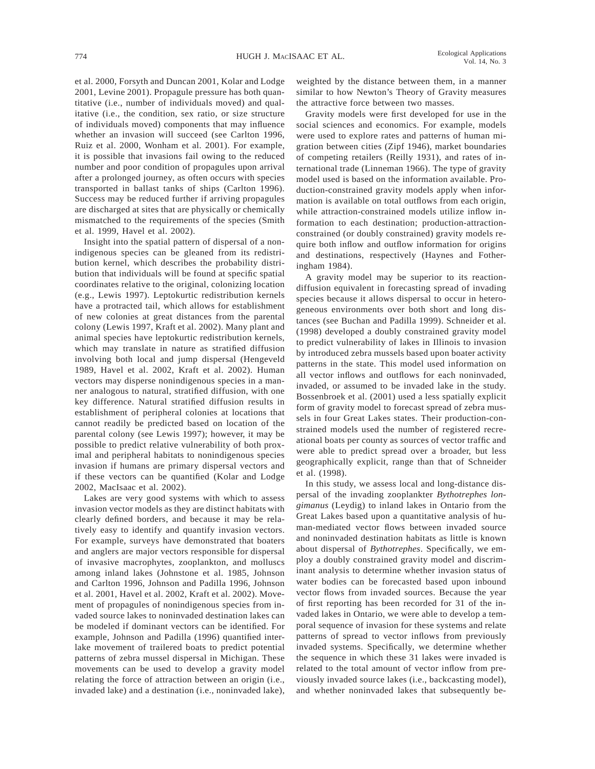et al. 2000, Forsyth and Duncan 2001, Kolar and Lodge 2001, Levine 2001). Propagule pressure has both quantitative (i.e., number of individuals moved) and qualitative (i.e., the condition, sex ratio, or size structure of individuals moved) components that may influence whether an invasion will succeed (see Carlton 1996, Ruiz et al. 2000, Wonham et al. 2001). For example, it is possible that invasions fail owing to the reduced number and poor condition of propagules upon arrival after a prolonged journey, as often occurs with species transported in ballast tanks of ships (Carlton 1996). Success may be reduced further if arriving propagules are discharged at sites that are physically or chemically mismatched to the requirements of the species (Smith et al. 1999, Havel et al. 2002).

Insight into the spatial pattern of dispersal of a nonindigenous species can be gleaned from its redistribution kernel, which describes the probability distribution that individuals will be found at specific spatial coordinates relative to the original, colonizing location (e.g., Lewis 1997). Leptokurtic redistribution kernels have a protracted tail, which allows for establishment of new colonies at great distances from the parental colony (Lewis 1997, Kraft et al. 2002). Many plant and animal species have leptokurtic redistribution kernels, which may translate in nature as stratified diffusion involving both local and jump dispersal (Hengeveld 1989, Havel et al. 2002, Kraft et al. 2002). Human vectors may disperse nonindigenous species in a manner analogous to natural, stratified diffusion, with one key difference. Natural stratified diffusion results in establishment of peripheral colonies at locations that cannot readily be predicted based on location of the parental colony (see Lewis 1997); however, it may be possible to predict relative vulnerability of both proximal and peripheral habitats to nonindigenous species invasion if humans are primary dispersal vectors and if these vectors can be quantified (Kolar and Lodge 2002, MacIsaac et al. 2002).

Lakes are very good systems with which to assess invasion vector models as they are distinct habitats with clearly defined borders, and because it may be relatively easy to identify and quantify invasion vectors. For example, surveys have demonstrated that boaters and anglers are major vectors responsible for dispersal of invasive macrophytes, zooplankton, and molluscs among inland lakes (Johnstone et al. 1985, Johnson and Carlton 1996, Johnson and Padilla 1996, Johnson et al. 2001, Havel et al. 2002, Kraft et al. 2002). Movement of propagules of nonindigenous species from invaded source lakes to noninvaded destination lakes can be modeled if dominant vectors can be identified. For example, Johnson and Padilla (1996) quantified interlake movement of trailered boats to predict potential patterns of zebra mussel dispersal in Michigan. These movements can be used to develop a gravity model relating the force of attraction between an origin (i.e., invaded lake) and a destination (i.e., noninvaded lake), weighted by the distance between them, in a manner similar to how Newton's Theory of Gravity measures the attractive force between two masses.

Gravity models were first developed for use in the social sciences and economics. For example, models were used to explore rates and patterns of human migration between cities (Zipf 1946), market boundaries of competing retailers (Reilly 1931), and rates of international trade (Linneman 1966). The type of gravity model used is based on the information available. Production-constrained gravity models apply when information is available on total outflows from each origin, while attraction-constrained models utilize inflow information to each destination; production-attractionconstrained (or doubly constrained) gravity models require both inflow and outflow information for origins and destinations, respectively (Haynes and Fotheringham 1984).

A gravity model may be superior to its reactiondiffusion equivalent in forecasting spread of invading species because it allows dispersal to occur in heterogeneous environments over both short and long distances (see Buchan and Padilla 1999). Schneider et al. (1998) developed a doubly constrained gravity model to predict vulnerability of lakes in Illinois to invasion by introduced zebra mussels based upon boater activity patterns in the state. This model used information on all vector inflows and outflows for each noninvaded, invaded, or assumed to be invaded lake in the study. Bossenbroek et al. (2001) used a less spatially explicit form of gravity model to forecast spread of zebra mussels in four Great Lakes states. Their production-constrained models used the number of registered recreational boats per county as sources of vector traffic and were able to predict spread over a broader, but less geographically explicit, range than that of Schneider et al. (1998).

In this study, we assess local and long-distance dispersal of the invading zooplankter *Bythotrephes longimanus* (Leydig) to inland lakes in Ontario from the Great Lakes based upon a quantitative analysis of human-mediated vector flows between invaded source and noninvaded destination habitats as little is known about dispersal of *Bythotrephes*. Specifically, we employ a doubly constrained gravity model and discriminant analysis to determine whether invasion status of water bodies can be forecasted based upon inbound vector flows from invaded sources. Because the year of first reporting has been recorded for 31 of the invaded lakes in Ontario, we were able to develop a temporal sequence of invasion for these systems and relate patterns of spread to vector inflows from previously invaded systems. Specifically, we determine whether the sequence in which these 31 lakes were invaded is related to the total amount of vector inflow from previously invaded source lakes (i.e., backcasting model), and whether noninvaded lakes that subsequently be-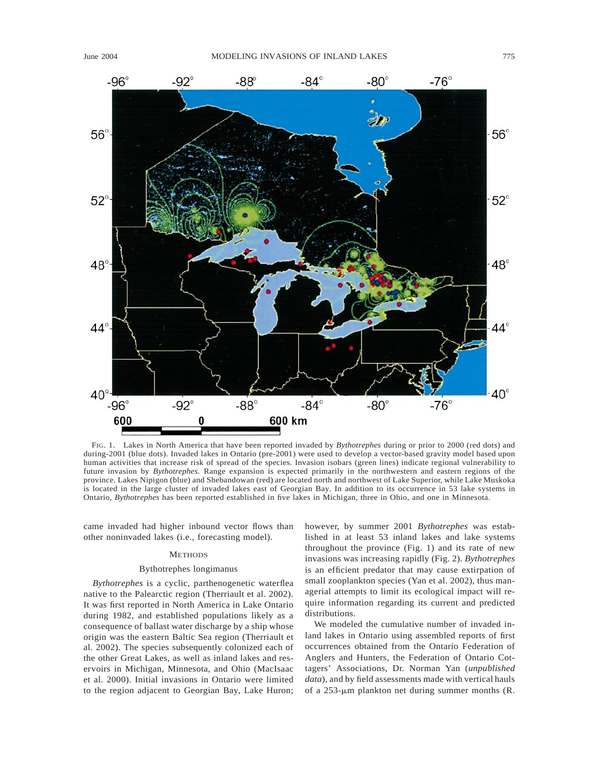

FIG. 1. Lakes in North America that have been reported invaded by *Bythotrephes* during or prior to 2000 (red dots) and during-2001 (blue dots). Invaded lakes in Ontario (pre-2001) were used to develop a vector-based gravity model based upon human activities that increase risk of spread of the species. Invasion isobars (green lines) indicate regional vulnerability to future invasion by *Bythotrephes*. Range expansion is expected primarily in the northwestern and eastern regions of the province. Lakes Nipigon (blue) and Shebandowan (red) are located north and northwest of Lake Superior, while Lake Muskoka is located in the large cluster of invaded lakes east of Georgian Bay. In addition to its occurrence in 53 lake systems in Ontario, *Bythotrephes* has been reported established in five lakes in Michigan, three in Ohio, and one in Minnesota.

came invaded had higher inbound vector flows than other noninvaded lakes (i.e., forecasting model).

# **METHODS**

## Bythotrephes longimanus

*Bythotrephes* is a cyclic, parthenogenetic waterflea native to the Palearctic region (Therriault et al. 2002). It was first reported in North America in Lake Ontario during 1982, and established populations likely as a consequence of ballast water discharge by a ship whose origin was the eastern Baltic Sea region (Therriault et al. 2002). The species subsequently colonized each of the other Great Lakes, as well as inland lakes and reservoirs in Michigan, Minnesota, and Ohio (MacIsaac et al. 2000). Initial invasions in Ontario were limited to the region adjacent to Georgian Bay, Lake Huron; however, by summer 2001 *Bythotrephes* was established in at least 53 inland lakes and lake systems throughout the province (Fig. 1) and its rate of new invasions was increasing rapidly (Fig. 2). *Bythotrephes* is an efficient predator that may cause extirpation of small zooplankton species (Yan et al. 2002), thus managerial attempts to limit its ecological impact will require information regarding its current and predicted distributions.

We modeled the cumulative number of invaded inland lakes in Ontario using assembled reports of first occurrences obtained from the Ontario Federation of Anglers and Hunters, the Federation of Ontario Cottagers' Associations, Dr. Norman Yan (*unpublished data*), and by field assessments made with vertical hauls of a  $253$ - $\mu$ m plankton net during summer months (R.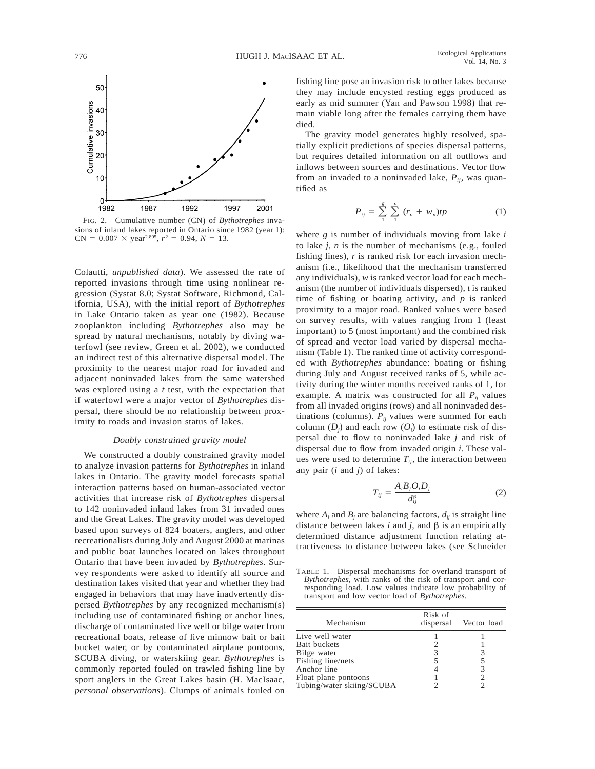

FIG. 2. Cumulative number (CN) of *Bythotrephes* invasions of inland lakes reported in Ontario since 1982 (year 1):  $CN = 0.007 \times \text{year}^{2.895}$ ,  $r^2 = 0.94$ ,  $N = 13$ .

Colautti, *unpublished data*). We assessed the rate of reported invasions through time using nonlinear regression (Systat 8.0; Systat Software, Richmond, California, USA), with the initial report of *Bythotrephes* in Lake Ontario taken as year one (1982). Because zooplankton including *Bythotrephes* also may be spread by natural mechanisms, notably by diving waterfowl (see review, Green et al. 2002), we conducted an indirect test of this alternative dispersal model. The proximity to the nearest major road for invaded and adjacent noninvaded lakes from the same watershed was explored using a *t* test, with the expectation that if waterfowl were a major vector of *Bythotrephes* dispersal, there should be no relationship between proximity to roads and invasion status of lakes.

## *Doubly constrained gravity model*

We constructed a doubly constrained gravity model to analyze invasion patterns for *Bythotrephes* in inland lakes in Ontario. The gravity model forecasts spatial interaction patterns based on human-associated vector activities that increase risk of *Bythotrephes* dispersal to 142 noninvaded inland lakes from 31 invaded ones and the Great Lakes. The gravity model was developed based upon surveys of 824 boaters, anglers, and other recreationalists during July and August 2000 at marinas and public boat launches located on lakes throughout Ontario that have been invaded by *Bythotrephes*. Survey respondents were asked to identify all source and destination lakes visited that year and whether they had engaged in behaviors that may have inadvertently dispersed *Bythotrephes* by any recognized mechanism(s) including use of contaminated fishing or anchor lines, discharge of contaminated live well or bilge water from recreational boats, release of live minnow bait or bait bucket water, or by contaminated airplane pontoons, SCUBA diving, or waterskiing gear. *Bythotrephes* is commonly reported fouled on trawled fishing line by sport anglers in the Great Lakes basin (H. MacIsaac, *personal observations*). Clumps of animals fouled on fishing line pose an invasion risk to other lakes because they may include encysted resting eggs produced as early as mid summer (Yan and Pawson 1998) that remain viable long after the females carrying them have died.

The gravity model generates highly resolved, spatially explicit predictions of species dispersal patterns, but requires detailed information on all outflows and inflows between sources and destinations. Vector flow from an invaded to a noninvaded lake,  $P_{ii}$ , was quantified as

$$
P_{ij} = \sum_{1}^{g} \sum_{1}^{n} (r_n + w_n) t p
$$
 (1)

where *g* is number of individuals moving from lake *i* to lake *j, n* is the number of mechanisms (e.g., fouled fishing lines), *r* is ranked risk for each invasion mechanism (i.e., likelihood that the mechanism transferred any individuals), *w* is ranked vector load for each mechanism (the number of individuals dispersed), *t* is ranked time of fishing or boating activity, and *p* is ranked proximity to a major road. Ranked values were based on survey results, with values ranging from 1 (least important) to 5 (most important) and the combined risk of spread and vector load varied by dispersal mechanism (Table 1). The ranked time of activity corresponded with *Bythotrephes* abundance: boating or fishing during July and August received ranks of 5, while activity during the winter months received ranks of 1, for example. A matrix was constructed for all  $P_{ij}$  values from all invaded origins (rows) and all noninvaded destinations (columns).  $P_{ij}$  values were summed for each column  $(D_j)$  and each row  $(O_i)$  to estimate risk of dispersal due to flow to noninvaded lake *j* and risk of dispersal due to flow from invaded origin *i.* These values were used to determine  $T_{ij}$ , the interaction between any pair (*i* and *j*) of lakes:

$$
T_{ij} = \frac{A_i B_j O_i D_j}{d_{ij}^{\beta}}
$$
 (2)

where  $A_i$  and  $B_j$  are balancing factors,  $d_{ii}$  is straight line distance between lakes  $i$  and  $j$ , and  $\beta$  is an empirically determined distance adjustment function relating attractiveness to distance between lakes (see Schneider

TABLE 1. Dispersal mechanisms for overland transport of *Bythotrephes*, with ranks of the risk of transport and corresponding load. Low values indicate low probability of transport and low vector load of *Bythotrephes*.

| Mechanism                 | Risk of | dispersal Vector load |
|---------------------------|---------|-----------------------|
| Live well water           |         |                       |
| Bait buckets              |         |                       |
| Bilge water               | 3       |                       |
| Fishing line/nets         |         |                       |
| Anchor line               |         |                       |
| Float plane pontoons      |         |                       |
| Tubing/water skiing/SCUBA |         |                       |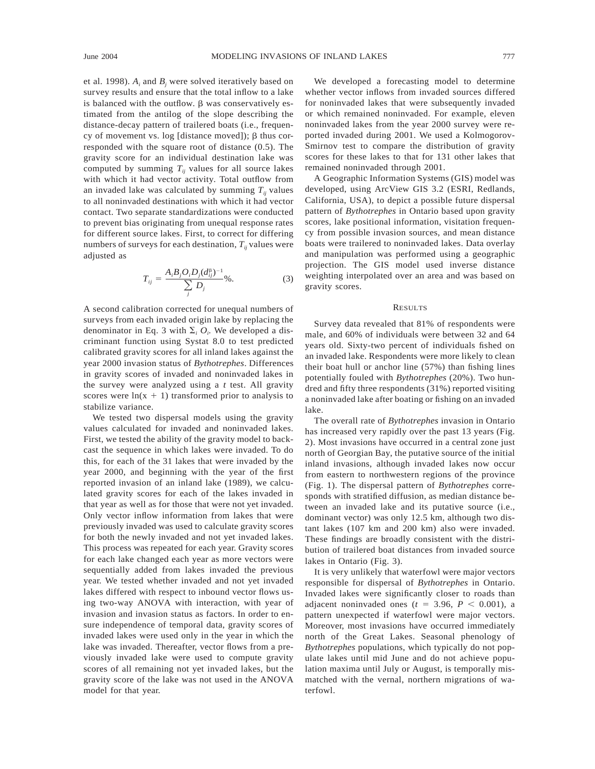et al. 1998). *Ai* and *Bj* were solved iteratively based on survey results and ensure that the total inflow to a lake is balanced with the outflow.  $\beta$  was conservatively estimated from the antilog of the slope describing the distance-decay pattern of trailered boats (i.e., frequency of movement vs. log [distance moved]);  $\beta$  thus corresponded with the square root of distance (0.5). The gravity score for an individual destination lake was computed by summing  $T_{ij}$  values for all source lakes with which it had vector activity. Total outflow from an invaded lake was calculated by summing  $T_{ij}$  values to all noninvaded destinations with which it had vector contact. Two separate standardizations were conducted to prevent bias originating from unequal response rates for different source lakes. First, to correct for differing numbers of surveys for each destination,  $T_{ii}$  values were adjusted as

$$
T_{ij} = \frac{A_i B_j O_i D_j (d_{ij}^{B})^{-1}}{\sum_j D_j} \%
$$
 (3)

A second calibration corrected for unequal numbers of surveys from each invaded origin lake by replacing the denominator in Eq. 3 with  $\Sigma_i$   $O_i$ . We developed a discriminant function using Systat 8.0 to test predicted calibrated gravity scores for all inland lakes against the year 2000 invasion status of *Bythotrephes*. Differences in gravity scores of invaded and noninvaded lakes in the survey were analyzed using a *t* test. All gravity scores were  $ln(x + 1)$  transformed prior to analysis to stabilize variance.

We tested two dispersal models using the gravity values calculated for invaded and noninvaded lakes. First, we tested the ability of the gravity model to backcast the sequence in which lakes were invaded. To do this, for each of the 31 lakes that were invaded by the year 2000, and beginning with the year of the first reported invasion of an inland lake (1989), we calculated gravity scores for each of the lakes invaded in that year as well as for those that were not yet invaded. Only vector inflow information from lakes that were previously invaded was used to calculate gravity scores for both the newly invaded and not yet invaded lakes. This process was repeated for each year. Gravity scores for each lake changed each year as more vectors were sequentially added from lakes invaded the previous year. We tested whether invaded and not yet invaded lakes differed with respect to inbound vector flows using two-way ANOVA with interaction, with year of invasion and invasion status as factors. In order to ensure independence of temporal data, gravity scores of invaded lakes were used only in the year in which the lake was invaded. Thereafter, vector flows from a previously invaded lake were used to compute gravity scores of all remaining not yet invaded lakes, but the gravity score of the lake was not used in the ANOVA model for that year.

We developed a forecasting model to determine whether vector inflows from invaded sources differed for noninvaded lakes that were subsequently invaded or which remained noninvaded. For example, eleven noninvaded lakes from the year 2000 survey were reported invaded during 2001. We used a Kolmogorov-Smirnov test to compare the distribution of gravity scores for these lakes to that for 131 other lakes that remained noninvaded through 2001.

A Geographic Information Systems (GIS) model was developed, using ArcView GIS 3.2 (ESRI, Redlands, California, USA), to depict a possible future dispersal pattern of *Bythotrephes* in Ontario based upon gravity scores, lake positional information, visitation frequency from possible invasion sources, and mean distance boats were trailered to noninvaded lakes. Data overlay and manipulation was performed using a geographic projection. The GIS model used inverse distance weighting interpolated over an area and was based on gravity scores.

# RESULTS

Survey data revealed that 81% of respondents were male, and 60% of individuals were between 32 and 64 years old. Sixty-two percent of individuals fished on an invaded lake. Respondents were more likely to clean their boat hull or anchor line (57%) than fishing lines potentially fouled with *Bythotrephes* (20%). Two hundred and fifty three respondents (31%) reported visiting a noninvaded lake after boating or fishing on an invaded lake.

The overall rate of *Bythotrephes* invasion in Ontario has increased very rapidly over the past 13 years (Fig. 2). Most invasions have occurred in a central zone just north of Georgian Bay, the putative source of the initial inland invasions, although invaded lakes now occur from eastern to northwestern regions of the province (Fig. 1). The dispersal pattern of *Bythotrephes* corresponds with stratified diffusion, as median distance between an invaded lake and its putative source (i.e., dominant vector) was only 12.5 km, although two distant lakes (107 km and 200 km) also were invaded. These findings are broadly consistent with the distribution of trailered boat distances from invaded source lakes in Ontario (Fig. 3).

It is very unlikely that waterfowl were major vectors responsible for dispersal of *Bythotrephes* in Ontario. Invaded lakes were significantly closer to roads than adjacent noninvaded ones  $(t = 3.96, P < 0.001)$ , a pattern unexpected if waterfowl were major vectors. Moreover, most invasions have occurred immediately north of the Great Lakes. Seasonal phenology of *Bythotrephes* populations, which typically do not populate lakes until mid June and do not achieve population maxima until July or August, is temporally mismatched with the vernal, northern migrations of waterfowl.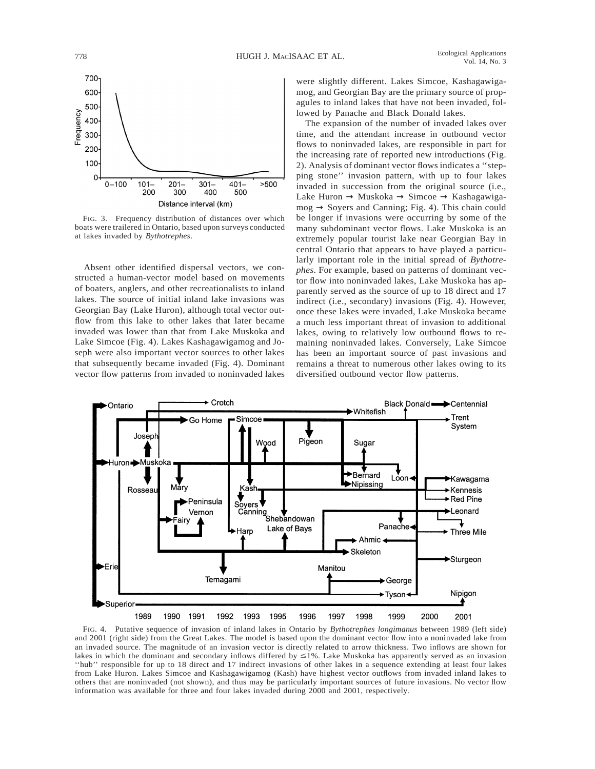

FIG. 3. Frequency distribution of distances over which boats were trailered in Ontario, based upon surveys conducted at lakes invaded by *Bythotrephes*.

Absent other identified dispersal vectors, we constructed a human-vector model based on movements of boaters, anglers, and other recreationalists to inland lakes. The source of initial inland lake invasions was Georgian Bay (Lake Huron), although total vector outflow from this lake to other lakes that later became invaded was lower than that from Lake Muskoka and Lake Simcoe (Fig. 4). Lakes Kashagawigamog and Joseph were also important vector sources to other lakes that subsequently became invaded (Fig. 4). Dominant vector flow patterns from invaded to noninvaded lakes

were slightly different. Lakes Simcoe, Kashagawigamog, and Georgian Bay are the primary source of propagules to inland lakes that have not been invaded, followed by Panache and Black Donald lakes.

The expansion of the number of invaded lakes over time, and the attendant increase in outbound vector flows to noninvaded lakes, are responsible in part for the increasing rate of reported new introductions (Fig. 2). Analysis of dominant vector flows indicates a ''stepping stone'' invasion pattern, with up to four lakes invaded in succession from the original source (i.e., Lake Huron → Muskoka → Simcoe → Kashagawiga $mog \rightarrow$  Soyers and Canning; Fig. 4). This chain could be longer if invasions were occurring by some of the many subdominant vector flows. Lake Muskoka is an extremely popular tourist lake near Georgian Bay in central Ontario that appears to have played a particularly important role in the initial spread of *Bythotrephes*. For example, based on patterns of dominant vector flow into noninvaded lakes, Lake Muskoka has apparently served as the source of up to 18 direct and 17 indirect (i.e., secondary) invasions (Fig. 4). However, once these lakes were invaded, Lake Muskoka became a much less important threat of invasion to additional lakes, owing to relatively low outbound flows to remaining noninvaded lakes. Conversely, Lake Simcoe has been an important source of past invasions and remains a threat to numerous other lakes owing to its diversified outbound vector flow patterns.



FIG. 4. Putative sequence of invasion of inland lakes in Ontario by *Bythotrephes longimanus* between 1989 (left side) and 2001 (right side) from the Great Lakes. The model is based upon the dominant vector flow into a noninvaded lake from an invaded source. The magnitude of an invasion vector is directly related to arrow thickness. Two inflows are shown for lakes in which the dominant and secondary inflows differed by  $\leq$ 1%. Lake Muskoka has apparently served as an invasion ''hub'' responsible for up to 18 direct and 17 indirect invasions of other lakes in a sequence extending at least four lakes from Lake Huron. Lakes Simcoe and Kashagawigamog (Kash) have highest vector outflows from invaded inland lakes to others that are noninvaded (not shown), and thus may be particularly important sources of future invasions. No vector flow information was available for three and four lakes invaded during 2000 and 2001, respectively.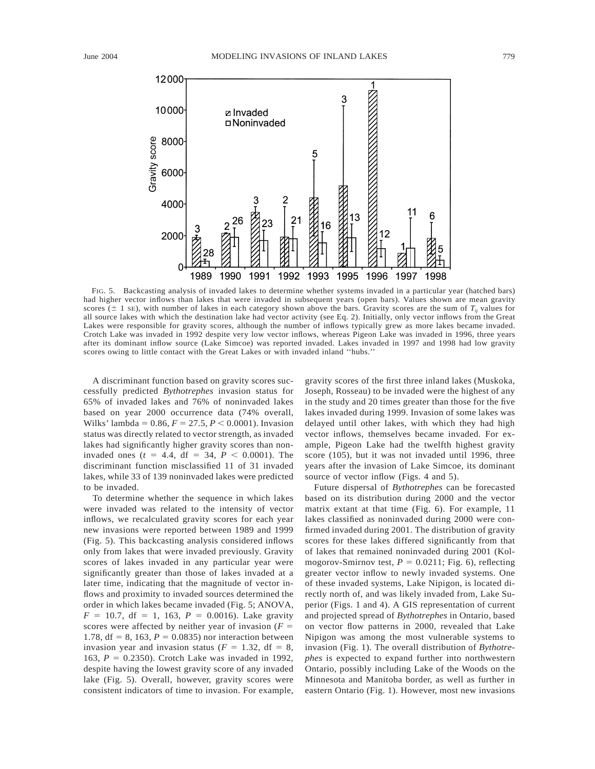

FIG. 5. Backcasting analysis of invaded lakes to determine whether systems invaded in a particular year (hatched bars) had higher vector inflows than lakes that were invaded in subsequent years (open bars). Values shown are mean gravity scores ( $\pm$  1 sE), with number of lakes in each category shown above the bars. Gravity scores are the sum of  $T_{ii}$  values for all source lakes with which the destination lake had vector activity (see Eq. 2). Initially, only vector inflows from the Great Lakes were responsible for gravity scores, although the number of inflows typically grew as more lakes became invaded. Crotch Lake was invaded in 1992 despite very low vector inflows, whereas Pigeon Lake was invaded in 1996, three years after its dominant inflow source (Lake Simcoe) was reported invaded. Lakes invaded in 1997 and 1998 had low gravity scores owing to little contact with the Great Lakes or with invaded inland ''hubs.''

A discriminant function based on gravity scores successfully predicted *Bythotrephes* invasion status for 65% of invaded lakes and 76% of noninvaded lakes based on year 2000 occurrence data (74% overall, Wilks' lambda =  $0.86$ ,  $F = 27.5$ ,  $P \le 0.0001$ ). Invasion status was directly related to vector strength, as invaded lakes had significantly higher gravity scores than noninvaded ones ( $t = 4.4$ , df = 34,  $P < 0.0001$ ). The discriminant function misclassified 11 of 31 invaded lakes, while 33 of 139 noninvaded lakes were predicted to be invaded.

To determine whether the sequence in which lakes were invaded was related to the intensity of vector inflows, we recalculated gravity scores for each year new invasions were reported between 1989 and 1999 (Fig. 5). This backcasting analysis considered inflows only from lakes that were invaded previously. Gravity scores of lakes invaded in any particular year were significantly greater than those of lakes invaded at a later time, indicating that the magnitude of vector inflows and proximity to invaded sources determined the order in which lakes became invaded (Fig. 5; ANOVA,  $F = 10.7$ , df = 1, 163,  $P = 0.0016$ ). Lake gravity scores were affected by neither year of invasion  $(F =$ 1.78,  $df = 8$ , 163,  $P = 0.0835$ ) nor interaction between invasion year and invasion status ( $F = 1.32$ , df = 8, 163,  $P = 0.2350$ . Crotch Lake was invaded in 1992, despite having the lowest gravity score of any invaded lake (Fig. 5). Overall, however, gravity scores were consistent indicators of time to invasion. For example,

gravity scores of the first three inland lakes (Muskoka, Joseph, Rosseau) to be invaded were the highest of any in the study and 20 times greater than those for the five lakes invaded during 1999. Invasion of some lakes was delayed until other lakes, with which they had high vector inflows, themselves became invaded. For example, Pigeon Lake had the twelfth highest gravity score (105), but it was not invaded until 1996, three years after the invasion of Lake Simcoe, its dominant source of vector inflow (Figs. 4 and 5).

Future dispersal of *Bythotrephes* can be forecasted based on its distribution during 2000 and the vector matrix extant at that time (Fig. 6). For example, 11 lakes classified as noninvaded during 2000 were confirmed invaded during 2001. The distribution of gravity scores for these lakes differed significantly from that of lakes that remained noninvaded during 2001 (Kolmogorov-Smirnov test,  $P = 0.0211$ ; Fig. 6), reflecting greater vector inflow to newly invaded systems. One of these invaded systems, Lake Nipigon, is located directly north of, and was likely invaded from, Lake Superior (Figs. 1 and 4). A GIS representation of current and projected spread of *Bythotrephes* in Ontario, based on vector flow patterns in 2000, revealed that Lake Nipigon was among the most vulnerable systems to invasion (Fig. 1). The overall distribution of *Bythotrephes* is expected to expand further into northwestern Ontario, possibly including Lake of the Woods on the Minnesota and Manitoba border, as well as further in eastern Ontario (Fig. 1). However, most new invasions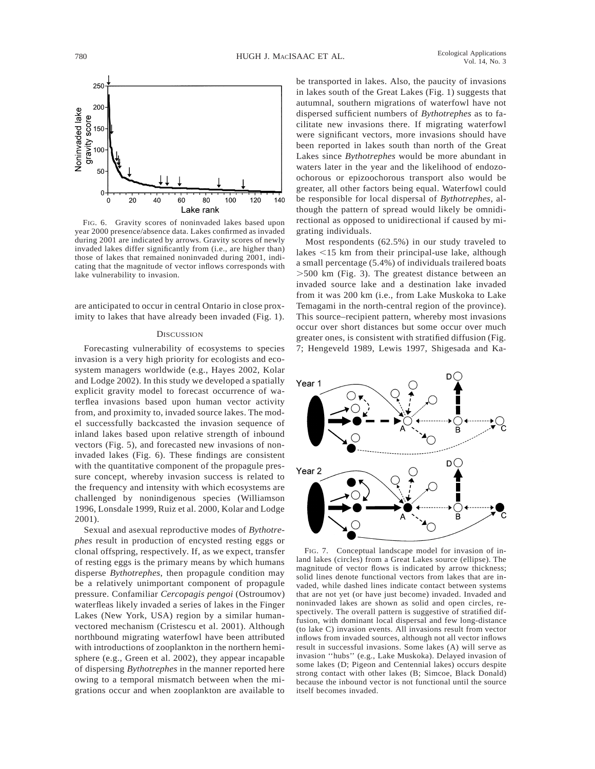

FIG. 6. Gravity scores of noninvaded lakes based upon year 2000 presence/absence data. Lakes confirmed as invaded during 2001 are indicated by arrows. Gravity scores of newly invaded lakes differ significantly from (i.e., are higher than) those of lakes that remained noninvaded during 2001, indicating that the magnitude of vector inflows corresponds with lake vulnerability to invasion.

are anticipated to occur in central Ontario in close proximity to lakes that have already been invaded (Fig. 1).

# **DISCUSSION**

Forecasting vulnerability of ecosystems to species invasion is a very high priority for ecologists and ecosystem managers worldwide (e.g., Hayes 2002, Kolar and Lodge 2002). In this study we developed a spatially explicit gravity model to forecast occurrence of waterflea invasions based upon human vector activity from, and proximity to, invaded source lakes. The model successfully backcasted the invasion sequence of inland lakes based upon relative strength of inbound vectors (Fig. 5), and forecasted new invasions of noninvaded lakes (Fig. 6). These findings are consistent with the quantitative component of the propagule pressure concept, whereby invasion success is related to the frequency and intensity with which ecosystems are challenged by nonindigenous species (Williamson 1996, Lonsdale 1999, Ruiz et al. 2000, Kolar and Lodge 2001).

Sexual and asexual reproductive modes of *Bythotrephes* result in production of encysted resting eggs or clonal offspring, respectively. If, as we expect, transfer of resting eggs is the primary means by which humans disperse *Bythotrephes*, then propagule condition may be a relatively unimportant component of propagule pressure. Confamiliar *Cercopagis pengoi* (Ostroumov) waterfleas likely invaded a series of lakes in the Finger Lakes (New York, USA) region by a similar humanvectored mechanism (Cristescu et al. 2001). Although northbound migrating waterfowl have been attributed with introductions of zooplankton in the northern hemisphere (e.g., Green et al. 2002), they appear incapable of dispersing *Bythotrephes* in the manner reported here owing to a temporal mismatch between when the migrations occur and when zooplankton are available to

be transported in lakes. Also, the paucity of invasions in lakes south of the Great Lakes (Fig. 1) suggests that autumnal, southern migrations of waterfowl have not dispersed sufficient numbers of *Bythotrephes* as to facilitate new invasions there. If migrating waterfowl were significant vectors, more invasions should have been reported in lakes south than north of the Great Lakes since *Bythotrephes* would be more abundant in waters later in the year and the likelihood of endozoochorous or epizoochorous transport also would be greater, all other factors being equal. Waterfowl could be responsible for local dispersal of *Bythotrephes*, although the pattern of spread would likely be omnidirectional as opposed to unidirectional if caused by migrating individuals.

Most respondents (62.5%) in our study traveled to lakes  $<$ 15 km from their principal-use lake, although a small percentage (5.4%) of individuals trailered boats  $>500$  km (Fig. 3). The greatest distance between an invaded source lake and a destination lake invaded from it was 200 km (i.e., from Lake Muskoka to Lake Temagami in the north-central region of the province). This source–recipient pattern, whereby most invasions occur over short distances but some occur over much greater ones, is consistent with stratified diffusion (Fig. 7; Hengeveld 1989, Lewis 1997, Shigesada and Ka-



FIG. 7. Conceptual landscape model for invasion of inland lakes (circles) from a Great Lakes source (ellipse). The magnitude of vector flows is indicated by arrow thickness; solid lines denote functional vectors from lakes that are invaded, while dashed lines indicate contact between systems that are not yet (or have just become) invaded. Invaded and noninvaded lakes are shown as solid and open circles, respectively. The overall pattern is suggestive of stratified diffusion, with dominant local dispersal and few long-distance (to lake C) invasion events. All invasions result from vector inflows from invaded sources, although not all vector inflows result in successful invasions. Some lakes (A) will serve as invasion ''hubs'' (e.g., Lake Muskoka). Delayed invasion of some lakes (D; Pigeon and Centennial lakes) occurs despite strong contact with other lakes (B; Simcoe, Black Donald) because the inbound vector is not functional until the source itself becomes invaded.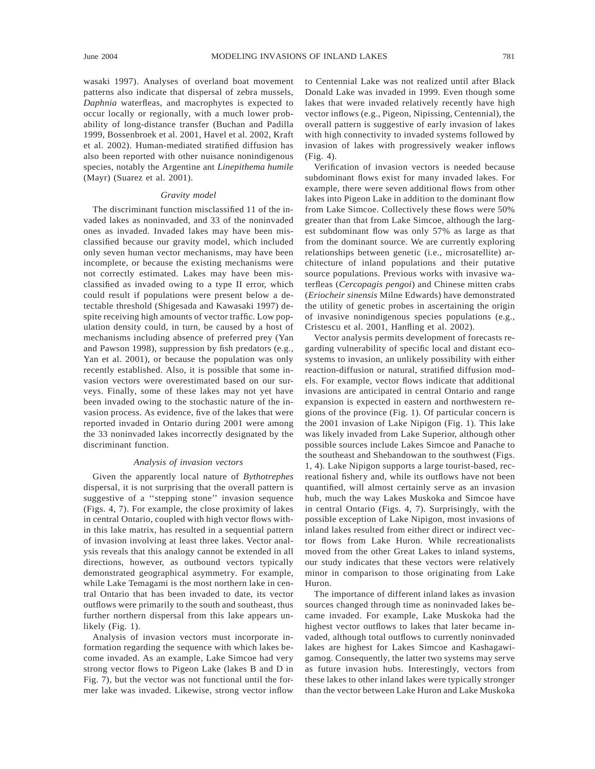wasaki 1997). Analyses of overland boat movement patterns also indicate that dispersal of zebra mussels, *Daphnia* waterfleas, and macrophytes is expected to occur locally or regionally, with a much lower probability of long-distance transfer (Buchan and Padilla 1999, Bossenbroek et al. 2001, Havel et al. 2002, Kraft et al. 2002). Human-mediated stratified diffusion has also been reported with other nuisance nonindigenous species, notably the Argentine ant *Linepithema humile* (Mayr) (Suarez et al. 2001).

## *Gravity model*

The discriminant function misclassified 11 of the invaded lakes as noninvaded, and 33 of the noninvaded ones as invaded. Invaded lakes may have been misclassified because our gravity model, which included only seven human vector mechanisms, may have been incomplete, or because the existing mechanisms were not correctly estimated. Lakes may have been misclassified as invaded owing to a type II error, which could result if populations were present below a detectable threshold (Shigesada and Kawasaki 1997) despite receiving high amounts of vector traffic. Low population density could, in turn, be caused by a host of mechanisms including absence of preferred prey (Yan and Pawson 1998), suppression by fish predators (e.g., Yan et al. 2001), or because the population was only recently established. Also, it is possible that some invasion vectors were overestimated based on our surveys. Finally, some of these lakes may not yet have been invaded owing to the stochastic nature of the invasion process. As evidence, five of the lakes that were reported invaded in Ontario during 2001 were among the 33 noninvaded lakes incorrectly designated by the discriminant function.

# *Analysis of invasion vectors*

Given the apparently local nature of *Bythotrephes* dispersal, it is not surprising that the overall pattern is suggestive of a ''stepping stone'' invasion sequence (Figs. 4, 7). For example, the close proximity of lakes in central Ontario, coupled with high vector flows within this lake matrix, has resulted in a sequential pattern of invasion involving at least three lakes. Vector analysis reveals that this analogy cannot be extended in all directions, however, as outbound vectors typically demonstrated geographical asymmetry. For example, while Lake Temagami is the most northern lake in central Ontario that has been invaded to date, its vector outflows were primarily to the south and southeast, thus further northern dispersal from this lake appears unlikely (Fig. 1).

Analysis of invasion vectors must incorporate information regarding the sequence with which lakes become invaded. As an example, Lake Simcoe had very strong vector flows to Pigeon Lake (lakes B and D in Fig. 7), but the vector was not functional until the former lake was invaded. Likewise, strong vector inflow to Centennial Lake was not realized until after Black Donald Lake was invaded in 1999. Even though some lakes that were invaded relatively recently have high vector inflows (e.g., Pigeon, Nipissing, Centennial), the overall pattern is suggestive of early invasion of lakes with high connectivity to invaded systems followed by invasion of lakes with progressively weaker inflows (Fig. 4).

Verification of invasion vectors is needed because subdominant flows exist for many invaded lakes. For example, there were seven additional flows from other lakes into Pigeon Lake in addition to the dominant flow from Lake Simcoe. Collectively these flows were 50% greater than that from Lake Simcoe, although the largest subdominant flow was only 57% as large as that from the dominant source. We are currently exploring relationships between genetic (i.e., microsatellite) architecture of inland populations and their putative source populations. Previous works with invasive waterfleas (*Cercopagis pengoi*) and Chinese mitten crabs (*Eriocheir sinensis* Milne Edwards) have demonstrated the utility of genetic probes in ascertaining the origin of invasive nonindigenous species populations (e.g., Cristescu et al. 2001, Hanfling et al. 2002).

Vector analysis permits development of forecasts regarding vulnerability of specific local and distant ecosystems to invasion, an unlikely possibility with either reaction-diffusion or natural, stratified diffusion models. For example, vector flows indicate that additional invasions are anticipated in central Ontario and range expansion is expected in eastern and northwestern regions of the province (Fig. 1). Of particular concern is the 2001 invasion of Lake Nipigon (Fig. 1). This lake was likely invaded from Lake Superior, although other possible sources include Lakes Simcoe and Panache to the southeast and Shebandowan to the southwest (Figs. 1, 4). Lake Nipigon supports a large tourist-based, recreational fishery and, while its outflows have not been quantified, will almost certainly serve as an invasion hub, much the way Lakes Muskoka and Simcoe have in central Ontario (Figs. 4, 7). Surprisingly, with the possible exception of Lake Nipigon, most invasions of inland lakes resulted from either direct or indirect vector flows from Lake Huron. While recreationalists moved from the other Great Lakes to inland systems, our study indicates that these vectors were relatively minor in comparison to those originating from Lake Huron.

The importance of different inland lakes as invasion sources changed through time as noninvaded lakes became invaded. For example, Lake Muskoka had the highest vector outflows to lakes that later became invaded, although total outflows to currently noninvaded lakes are highest for Lakes Simcoe and Kashagawigamog. Consequently, the latter two systems may serve as future invasion hubs. Interestingly, vectors from these lakes to other inland lakes were typically stronger than the vector between Lake Huron and Lake Muskoka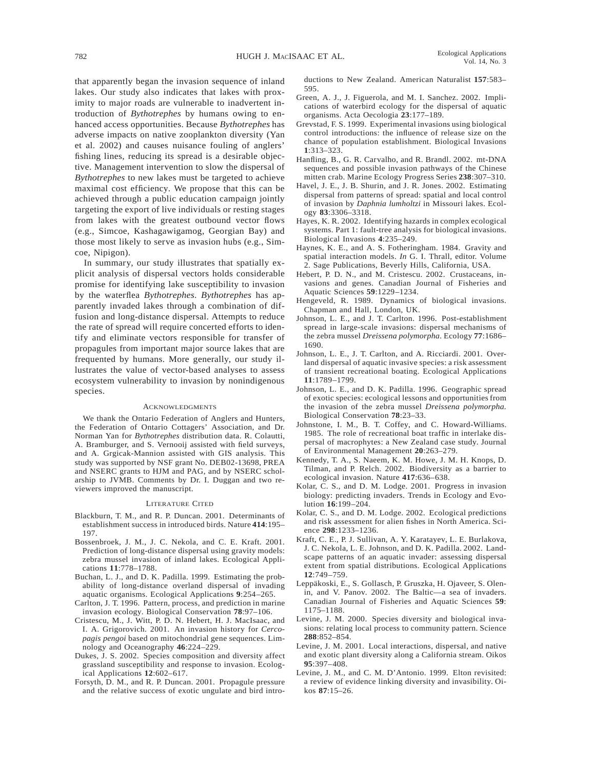that apparently began the invasion sequence of inland lakes. Our study also indicates that lakes with proximity to major roads are vulnerable to inadvertent introduction of *Bythotrephes* by humans owing to enhanced access opportunities. Because *Bythotrephes* has adverse impacts on native zooplankton diversity (Yan et al. 2002) and causes nuisance fouling of anglers' fishing lines, reducing its spread is a desirable objective. Management intervention to slow the dispersal of *Bythotrephes* to new lakes must be targeted to achieve maximal cost efficiency. We propose that this can be achieved through a public education campaign jointly targeting the export of live individuals or resting stages from lakes with the greatest outbound vector flows (e.g., Simcoe, Kashagawigamog, Georgian Bay) and those most likely to serve as invasion hubs (e.g., Simcoe, Nipigon).

In summary, our study illustrates that spatially explicit analysis of dispersal vectors holds considerable promise for identifying lake susceptibility to invasion by the waterflea *Bythotrephes*. *Bythotrephes* has apparently invaded lakes through a combination of diffusion and long-distance dispersal. Attempts to reduce the rate of spread will require concerted efforts to identify and eliminate vectors responsible for transfer of propagules from important major source lakes that are frequented by humans. More generally, our study illustrates the value of vector-based analyses to assess ecosystem vulnerability to invasion by nonindigenous species.

#### ACKNOWLEDGMENTS

We thank the Ontario Federation of Anglers and Hunters, the Federation of Ontario Cottagers' Association, and Dr. Norman Yan for *Bythotrephes* distribution data. R. Colautti, A. Bramburger, and S. Vernooij assisted with field surveys, and A. Grgicak-Mannion assisted with GIS analysis. This study was supported by NSF grant No. DEB02-13698, PREA and NSERC grants to HJM and PAG, and by NSERC scholarship to JVMB. Comments by Dr. I. Duggan and two reviewers improved the manuscript.

#### LITERATURE CITED

- Blackburn, T. M., and R. P. Duncan. 2001. Determinants of establishment success in introduced birds. Nature **414**:195– 197.
- Bossenbroek, J. M., J. C. Nekola, and C. E. Kraft. 2001. Prediction of long-distance dispersal using gravity models: zebra mussel invasion of inland lakes. Ecological Applications **11**:778–1788.
- Buchan, L. J., and D. K. Padilla. 1999. Estimating the probability of long-distance overland dispersal of invading aquatic organisms. Ecological Applications **9**:254–265.
- Carlton, J. T. 1996. Pattern, process, and prediction in marine invasion ecology. Biological Conservation **78**:97–106.
- Cristescu, M., J. Witt, P. D. N. Hebert, H. J. MacIsaac, and I. A. Grigorovich. 2001. An invasion history for *Cercopagis pengoi* based on mitochondrial gene sequences. Limnology and Oceanography **46**:224–229.
- Dukes, J. S. 2002. Species composition and diversity affect grassland susceptibility and response to invasion. Ecological Applications **12**:602–617.
- Forsyth, D. M., and R. P. Duncan. 2001. Propagule pressure and the relative success of exotic ungulate and bird intro-

ductions to New Zealand. American Naturalist **157**:583– 595.

- Green, A. J., J. Figuerola, and M. I. Sanchez. 2002. Implications of waterbird ecology for the dispersal of aquatic organisms. Acta Oecologia **23**:177–189.
- Grevstad, F. S. 1999. Experimental invasions using biological control introductions: the influence of release size on the chance of population establishment. Biological Invasions **1**:313–323.
- Hanfling, B., G. R. Carvalho, and R. Brandl. 2002. mt-DNA sequences and possible invasion pathways of the Chinese mitten crab. Marine Ecology Progress Series **238**:307–310.
- Havel, J. E., J. B. Shurin, and J. R. Jones. 2002. Estimating dispersal from patterns of spread: spatial and local control of invasion by *Daphnia lumholtzi* in Missouri lakes. Ecology **83**:3306–3318.
- Hayes, K. R. 2002. Identifying hazards in complex ecological systems. Part 1: fault-tree analysis for biological invasions. Biological Invasions **4**:235–249.
- Haynes, K. E., and A. S. Fotheringham. 1984. Gravity and spatial interaction models. *In* G. I. Thrall, editor. Volume 2. Sage Publications, Beverly Hills, California, USA.
- Hebert, P. D. N., and M. Cristescu. 2002. Crustaceans, invasions and genes. Canadian Journal of Fisheries and Aquatic Sciences **59**:1229–1234.
- Hengeveld, R. 1989. Dynamics of biological invasions. Chapman and Hall, London, UK.
- Johnson, L. E., and J. T. Carlton. 1996. Post-establishment spread in large-scale invasions: dispersal mechanisms of the zebra mussel *Dreissena polymorpha*. Ecology **77**:1686– 1690.
- Johnson, L. E., J. T. Carlton, and A. Ricciardi. 2001. Overland dispersal of aquatic invasive species: a risk assessment of transient recreational boating. Ecological Applications **11**:1789–1799.
- Johnson, L. E., and D. K. Padilla. 1996. Geographic spread of exotic species: ecological lessons and opportunities from the invasion of the zebra mussel *Dreissena polymorpha*. Biological Conservation **78**:23–33.
- Johnstone, I. M., B. T. Coffey, and C. Howard-Williams. 1985. The role of recreational boat traffic in interlake dispersal of macrophytes: a New Zealand case study. Journal of Environmental Management **20**:263–279.
- Kennedy, T. A., S. Naeem, K. M. Howe, J. M. H. Knops, D. Tilman, and P. Relch. 2002. Biodiversity as a barrier to ecological invasion. Nature **417**:636–638.
- Kolar, C. S., and D. M. Lodge. 2001. Progress in invasion biology: predicting invaders. Trends in Ecology and Evolution **16**:199–204.
- Kolar, C. S., and D. M. Lodge. 2002. Ecological predictions and risk assessment for alien fishes in North America. Science **298**:1233–1236.
- Kraft, C. E., P. J. Sullivan, A. Y. Karatayev, L. E. Burlakova, J. C. Nekola, L. E. Johnson, and D. K. Padilla. 2002. Landscape patterns of an aquatic invader: assessing dispersal extent from spatial distributions. Ecological Applications **12**:749–759.
- Leppäkoski, E., S. Gollasch, P. Gruszka, H. Ojaveer, S. Olenin, and V. Panov. 2002. The Baltic—a sea of invaders. Canadian Journal of Fisheries and Aquatic Sciences **59**: 1175–1188.
- Levine, J. M. 2000. Species diversity and biological invasions: relating local process to community pattern. Science **288**:852–854.
- Levine, J. M. 2001. Local interactions, dispersal, and native and exotic plant diversity along a California stream. Oikos **95**:397–408.
- Levine, J. M., and C. M. D'Antonio. 1999. Elton revisited: a review of evidence linking diversity and invasibility. Oikos **87**:15–26.